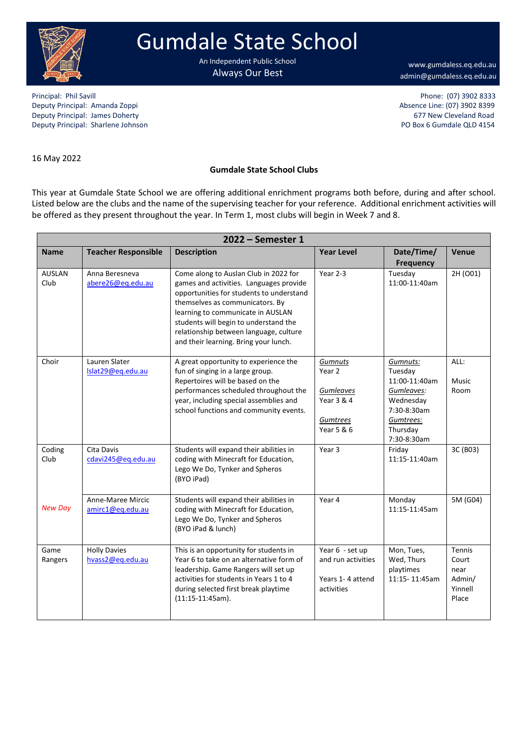

## Gumdale State School

An Independent Public School Always Our Best

[www.gumdaless.eq.edu.au](http://www.gumdaless.eq.edu.au/) admin@gumdaless.eq.edu.au

Principal: Phil Savill Phone: (07) 3902 8333 Deputy Principal: Amanda Zoppi Absence Line: (07) 3902 8399 Deputy Principal: James Doherty (and the community of the community of the community of the community of the community of the community of the community of the community of the community of the community of the community o Deputy Principal: Sharlene Johnson

16 May 2022

## **Gumdale State School Clubs**

This year at Gumdale State School we are offering additional enrichment programs both before, during and after school. Listed below are the clubs and the name of the supervising teacher for your reference. Additional enrichment activities will be offered as they present throughout the year. In Term 1, most clubs will begin in Week 7 and 8.

| 2022 - Semester 1     |                                         |                                                                                                                                                                                                                                                                                                                                  |                                                                         |                                                                                                                        |                                                       |  |  |  |
|-----------------------|-----------------------------------------|----------------------------------------------------------------------------------------------------------------------------------------------------------------------------------------------------------------------------------------------------------------------------------------------------------------------------------|-------------------------------------------------------------------------|------------------------------------------------------------------------------------------------------------------------|-------------------------------------------------------|--|--|--|
| <b>Name</b>           | <b>Teacher Responsible</b>              | <b>Description</b>                                                                                                                                                                                                                                                                                                               | <b>Year Level</b>                                                       | Date/Time/<br><b>Frequency</b>                                                                                         | <b>Venue</b>                                          |  |  |  |
| <b>AUSLAN</b><br>Club | Anna Beresneva<br>abere26@eg.edu.au     | Come along to Auslan Club in 2022 for<br>games and activities. Languages provide<br>opportunities for students to understand<br>themselves as communicators. By<br>learning to communicate in AUSLAN<br>students will begin to understand the<br>relationship between language, culture<br>and their learning. Bring your lunch. | Year 2-3                                                                | Tuesday<br>11:00-11:40am                                                                                               | 2H (O01)                                              |  |  |  |
| Choir                 | Lauren Slater<br>Islat29@eq.edu.au      | A great opportunity to experience the<br>fun of singing in a large group.<br>Repertoires will be based on the<br>performances scheduled throughout the<br>year, including special assemblies and<br>school functions and community events.                                                                                       | Gumnuts<br>Year 2<br>Gumleaves<br>Year 3 & 4<br>Gumtrees<br>Year 5 & 6  | Gumnuts:<br>Tuesday<br>11:00-11:40am<br>Gumleaves:<br>Wednesday<br>7:30-8:30am<br>Gumtrees:<br>Thursday<br>7:30-8:30am | ALL:<br>Music<br>Room                                 |  |  |  |
| Coding<br>Club        | Cita Davis<br>cdavi245@eq.edu.au        | Students will expand their abilities in<br>coding with Minecraft for Education,<br>Lego We Do, Tynker and Spheros<br>(BYO iPad)                                                                                                                                                                                                  | Year 3                                                                  | Friday<br>11:15-11:40am                                                                                                | 3C (B03)                                              |  |  |  |
| <b>New Day</b>        | Anne-Maree Mircic<br>amirc1@eq.edu.au   | Students will expand their abilities in<br>coding with Minecraft for Education,<br>Lego We Do, Tynker and Spheros<br>(BYO iPad & lunch)                                                                                                                                                                                          | Year 4                                                                  | Monday<br>11:15-11:45am                                                                                                | 5M (G04)                                              |  |  |  |
| Game<br>Rangers       | <b>Holly Davies</b><br>hvass2@eq.edu.au | This is an opportunity for students in<br>Year 6 to take on an alternative form of<br>leadership. Game Rangers will set up<br>activities for students in Years 1 to 4<br>during selected first break playtime<br>$(11:15-11:45am).$                                                                                              | Year 6 - set up<br>and run activities<br>Years 1-4 attend<br>activities | Mon, Tues,<br>Wed, Thurs<br>playtimes<br>11:15-11:45am                                                                 | Tennis<br>Court<br>near<br>Admin/<br>Yinnell<br>Place |  |  |  |